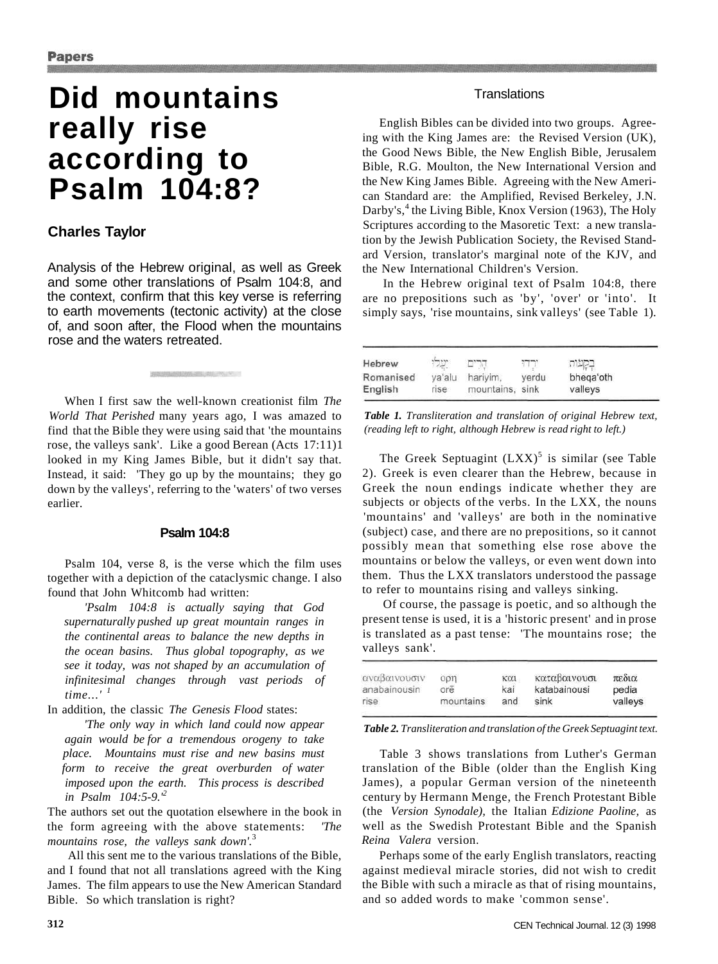# **Did mountains really rise according to Psalm 104:8?**

## **Charles Taylor**

Analysis of the Hebrew original, as well as Greek and some other translations of Psalm 104:8, and the context, confirm that this key verse is referring to earth movements (tectonic activity) at the close of, and soon after, the Flood when the mountains rose and the waters retreated.

**BUNGAN SELENCYCLY** 

When I first saw the well-known creationist film *The World That Perished* many years ago, I was amazed to find that the Bible they were using said that 'the mountains rose, the valleys sank'. Like a good Berean (Acts 17:11)1 looked in my King James Bible, but it didn't say that. Instead, it said: 'They go up by the mountains; they go down by the valleys', referring to the 'waters' of two verses earlier.

## **Psalm 104:8**

Psalm 104, verse 8, is the verse which the film uses together with a depiction of the cataclysmic change. I also found that John Whitcomb had written:

*'Psalm 104:8 is actually saying that God supernaturally pushed up great mountain ranges in the continental areas to balance the new depths in the ocean basins. Thus global topography, as we see it today, was not shaped by an accumulation of infinitesimal changes through vast periods of time...'*<sup>1</sup>

In addition, the classic *The Genesis Flood* states:

*'The only way in which land could now appear again would be for a tremendous orogeny to take place. Mountains must rise and new basins must form to receive the great overburden of water imposed upon the earth. This process is described in Psalm 104:5-9.'<sup>2</sup>*

The authors set out the quotation elsewhere in the book in the form agreeing with the above statements: *'The mountains rose, the valleys sank down'.*<sup>3</sup>

All this sent me to the various translations of the Bible, and I found that not all translations agreed with the King James. The film appears to use the New American Standard Bible. So which translation is right?

## **Translations**

English Bibles can be divided into two groups. Agreeing with the King James are: the Revised Version (UK), the Good News Bible, the New English Bible, Jerusalem Bible, R.G. Moulton, the New International Version and the New King James Bible. Agreeing with the New American Standard are: the Amplified, Revised Berkeley, J.N. Darby's,<sup>4</sup> the Living Bible, Knox Version (1963), The Holy Scriptures according to the Masoretic Text: a new translation by the Jewish Publication Society, the Revised Standard Version, translator's marginal note of the KJV, and the New International Children's Version.

In the Hebrew original text of Psalm 104:8, there are no prepositions such as 'by', 'over' or 'into'. It simply says, 'rise mountains, sink valleys' (see Table 1).

| Hebrew    |        |                 |       |           |  |
|-----------|--------|-----------------|-------|-----------|--|
| Romanised | ya'alu | harivim.        | verdu | bhega'oth |  |
| English   | rise   | mountains, sink |       | valleys   |  |

*Table 1. Transliteration and translation of original Hebrew text, (reading left to right, although Hebrew is read right to left.)* 

The Greek Septuagint  $(LXX)^5$  is similar (see Table 2). Greek is even clearer than the Hebrew, because in Greek the noun endings indicate whether they are subjects or objects of the verbs. In the LXX, the nouns 'mountains' and 'valleys' are both in the nominative (subject) case, and there are no prepositions, so it cannot possibly mean that something else rose above the mountains or below the valleys, or even went down into them. Thus the LXX translators understood the passage to refer to mountains rising and valleys sinking.

Of course, the passage is poetic, and so although the present tense is used, it is a 'historic present' and in prose is translated as a past tense: 'The mountains rose; the valleys sank'.

| αναβαινουσιν | opn       | KOU | καταβαινουσι | πεδια   |
|--------------|-----------|-----|--------------|---------|
| anabainousin | ore       | kai | katabainousi | pedia   |
| rise         | mountains | and | sink         | valleys |

*Table 2. Transliteration and translation of the Greek Septuagint text.* 

Table 3 shows translations from Luther's German translation of the Bible (older than the English King James), a popular German version of the nineteenth century by Hermann Menge, the French Protestant Bible (the *Version Synodale),* the Italian *Edizione Paoline,* as well as the Swedish Protestant Bible and the Spanish *Reina Valera* version.

Perhaps some of the early English translators, reacting against medieval miracle stories, did not wish to credit the Bible with such a miracle as that of rising mountains, and so added words to make 'common sense'.